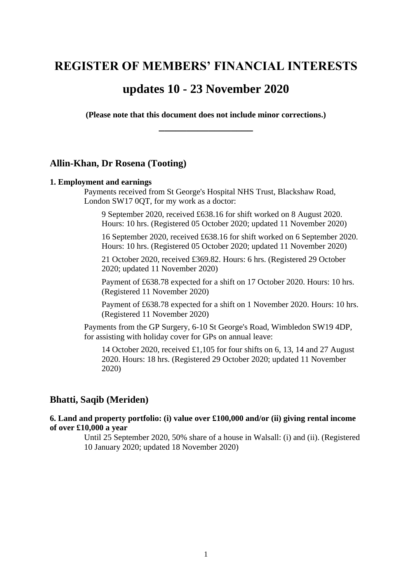# **REGISTER OF MEMBERS' FINANCIAL INTERESTS**

# **updates 10 - 23 November 2020**

**(Please note that this document does not include minor corrections.) \_\_\_\_\_\_\_\_\_\_\_\_\_\_\_\_\_**

# **Allin-Khan, Dr Rosena (Tooting)**

### **1. Employment and earnings**

Payments received from St George's Hospital NHS Trust, Blackshaw Road, London SW17 0QT, for my work as a doctor:

9 September 2020, received £638.16 for shift worked on 8 August 2020. Hours: 10 hrs. (Registered 05 October 2020; updated 11 November 2020)

16 September 2020, received £638.16 for shift worked on 6 September 2020. Hours: 10 hrs. (Registered 05 October 2020; updated 11 November 2020)

21 October 2020, received £369.82. Hours: 6 hrs. (Registered 29 October 2020; updated 11 November 2020)

Payment of £638.78 expected for a shift on 17 October 2020. Hours: 10 hrs. (Registered 11 November 2020)

Payment of £638.78 expected for a shift on 1 November 2020. Hours: 10 hrs. (Registered 11 November 2020)

Payments from the GP Surgery, 6-10 St George's Road, Wimbledon SW19 4DP, for assisting with holiday cover for GPs on annual leave:

14 October 2020, received £1,105 for four shifts on 6, 13, 14 and 27 August 2020. Hours: 18 hrs. (Registered 29 October 2020; updated 11 November 2020)

# **Bhatti, Saqib (Meriden)**

**6. Land and property portfolio: (i) value over £100,000 and/or (ii) giving rental income of over £10,000 a year**

> Until 25 September 2020, 50% share of a house in Walsall: (i) and (ii). (Registered 10 January 2020; updated 18 November 2020)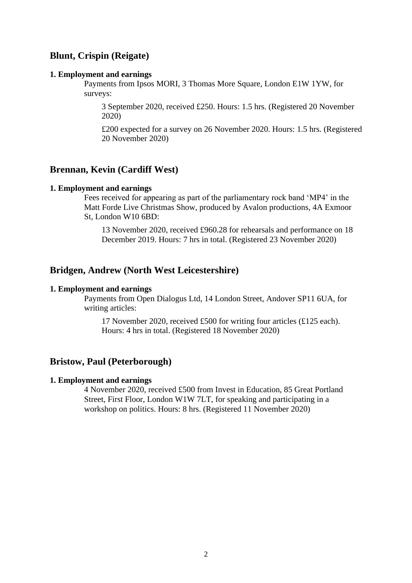# **Blunt, Crispin (Reigate)**

### **1. Employment and earnings**

Payments from Ipsos MORI, 3 Thomas More Square, London E1W 1YW, for surveys:

3 September 2020, received £250. Hours: 1.5 hrs. (Registered 20 November 2020)

£200 expected for a survey on 26 November 2020. Hours: 1.5 hrs. (Registered 20 November 2020)

# **Brennan, Kevin (Cardiff West)**

### **1. Employment and earnings**

Fees received for appearing as part of the parliamentary rock band 'MP4' in the Matt Forde Live Christmas Show, produced by Avalon productions, 4A Exmoor St, London W10 6BD:

13 November 2020, received £960.28 for rehearsals and performance on 18 December 2019. Hours: 7 hrs in total. (Registered 23 November 2020)

# **Bridgen, Andrew (North West Leicestershire)**

### **1. Employment and earnings**

Payments from Open Dialogus Ltd, 14 London Street, Andover SP11 6UA, for writing articles:

17 November 2020, received £500 for writing four articles (£125 each). Hours: 4 hrs in total. (Registered 18 November 2020)

# **Bristow, Paul (Peterborough)**

### **1. Employment and earnings**

4 November 2020, received £500 from Invest in Education, 85 Great Portland Street, First Floor, London W1W 7LT, for speaking and participating in a workshop on politics. Hours: 8 hrs. (Registered 11 November 2020)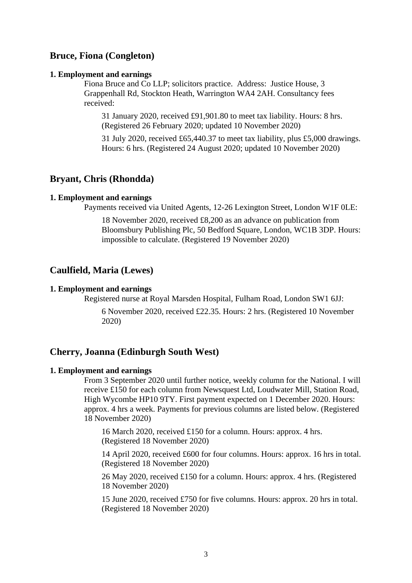# **Bruce, Fiona (Congleton)**

### **1. Employment and earnings**

Fiona Bruce and Co LLP; solicitors practice. Address: Justice House, 3 Grappenhall Rd, Stockton Heath, Warrington WA4 2AH. Consultancy fees received:

31 January 2020, received £91,901.80 to meet tax liability. Hours: 8 hrs. (Registered 26 February 2020; updated 10 November 2020)

31 July 2020, received £65,440.37 to meet tax liability, plus £5,000 drawings. Hours: 6 hrs. (Registered 24 August 2020; updated 10 November 2020)

# **Bryant, Chris (Rhondda)**

#### **1. Employment and earnings**

Payments received via United Agents, 12-26 Lexington Street, London W1F 0LE:

18 November 2020, received £8,200 as an advance on publication from Bloomsbury Publishing Plc, 50 Bedford Square, London, WC1B 3DP. Hours: impossible to calculate. (Registered 19 November 2020)

# **Caulfield, Maria (Lewes)**

#### **1. Employment and earnings**

Registered nurse at Royal Marsden Hospital, Fulham Road, London SW1 6JJ:

6 November 2020, received £22.35. Hours: 2 hrs. (Registered 10 November 2020)

# **Cherry, Joanna (Edinburgh South West)**

### **1. Employment and earnings**

From 3 September 2020 until further notice, weekly column for the National. I will receive £150 for each column from Newsquest Ltd, Loudwater Mill, Station Road, High Wycombe HP10 9TY. First payment expected on 1 December 2020. Hours: approx. 4 hrs a week. Payments for previous columns are listed below. (Registered 18 November 2020)

16 March 2020, received £150 for a column. Hours: approx. 4 hrs. (Registered 18 November 2020)

14 April 2020, received £600 for four columns. Hours: approx. 16 hrs in total. (Registered 18 November 2020)

26 May 2020, received £150 for a column. Hours: approx. 4 hrs. (Registered 18 November 2020)

15 June 2020, received £750 for five columns. Hours: approx. 20 hrs in total. (Registered 18 November 2020)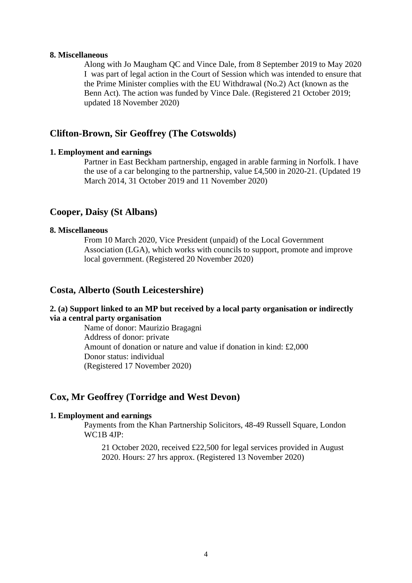### **8. Miscellaneous**

Along with Jo Maugham QC and Vince Dale, from 8 September 2019 to May 2020 I was part of legal action in the Court of Session which was intended to ensure that the Prime Minister complies with the EU Withdrawal (No.2) Act (known as the Benn Act). The action was funded by Vince Dale. (Registered 21 October 2019; updated 18 November 2020)

# **Clifton-Brown, Sir Geoffrey (The Cotswolds)**

### **1. Employment and earnings**

Partner in East Beckham partnership, engaged in arable farming in Norfolk. I have the use of a car belonging to the partnership, value £4,500 in 2020-21. (Updated 19 March 2014, 31 October 2019 and 11 November 2020)

# **Cooper, Daisy (St Albans)**

### **8. Miscellaneous**

From 10 March 2020, Vice President (unpaid) of the Local Government Association (LGA), which works with councils to support, promote and improve local government. (Registered 20 November 2020)

# **Costa, Alberto (South Leicestershire)**

# **2. (a) Support linked to an MP but received by a local party organisation or indirectly via a central party organisation**

Name of donor: Maurizio Bragagni Address of donor: private Amount of donation or nature and value if donation in kind: £2,000 Donor status: individual (Registered 17 November 2020)

# **Cox, Mr Geoffrey (Torridge and West Devon)**

### **1. Employment and earnings**

Payments from the Khan Partnership Solicitors, 48-49 Russell Square, London WC1B 4JP:

21 October 2020, received £22,500 for legal services provided in August 2020. Hours: 27 hrs approx. (Registered 13 November 2020)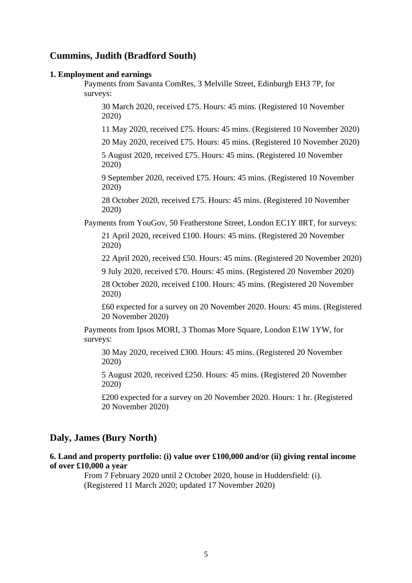# **Cummins, Judith (Bradford South)**

#### **1. Employment and earnings**

Payments from Savanta ComRes, 3 Melville Street, Edinburgh EH3 7P, for surveys:

30 March 2020, received £75. Hours: 45 mins. (Registered 10 November 2020)

11 May 2020, received £75. Hours: 45 mins. (Registered 10 November 2020)

20 May 2020, received £75. Hours: 45 mins. (Registered 10 November 2020)

5 August 2020, received £75. Hours: 45 mins. (Registered 10 November 2020)

9 September 2020, received £75. Hours: 45 mins. (Registered 10 November 2020)

28 October 2020, received £75. Hours: 45 mins. (Registered 10 November 2020)

Payments from YouGov, 50 Featherstone Street, London EC1Y 8RT, for surveys:

21 April 2020, received £100. Hours: 45 mins. (Registered 20 November 2020)

22 April 2020, received £50. Hours: 45 mins. (Registered 20 November 2020)

9 July 2020, received £70. Hours: 45 mins. (Registered 20 November 2020)

28 October 2020, received £100. Hours: 45 mins. (Registered 20 November 2020)

£60 expected for a survey on 20 November 2020. Hours: 45 mins. (Registered 20 November 2020)

Payments from Ipsos MORI, 3 Thomas More Square, London E1W 1YW, for surveys:

30 May 2020, received £300. Hours: 45 mins. (Registered 20 November 2020)

5 August 2020, received £250. Hours: 45 mins. (Registered 20 November 2020)

£200 expected for a survey on 20 November 2020. Hours: 1 hr. (Registered 20 November 2020)

# **Daly, James (Bury North)**

# **6. Land and property portfolio: (i) value over £100,000 and/or (ii) giving rental income of over £10,000 a year**

From 7 February 2020 until 2 October 2020, house in Huddersfield: (i). (Registered 11 March 2020; updated 17 November 2020)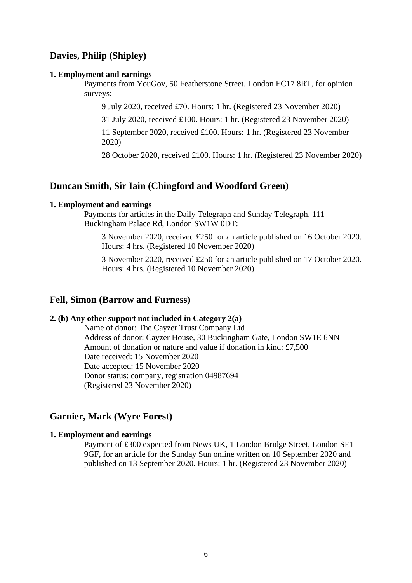# **Davies, Philip (Shipley)**

#### **1. Employment and earnings**

Payments from YouGov, 50 Featherstone Street, London EC17 8RT, for opinion surveys:

9 July 2020, received £70. Hours: 1 hr. (Registered 23 November 2020)

31 July 2020, received £100. Hours: 1 hr. (Registered 23 November 2020)

11 September 2020, received £100. Hours: 1 hr. (Registered 23 November 2020)

28 October 2020, received £100. Hours: 1 hr. (Registered 23 November 2020)

# **Duncan Smith, Sir Iain (Chingford and Woodford Green)**

### **1. Employment and earnings**

Payments for articles in the Daily Telegraph and Sunday Telegraph, 111 Buckingham Palace Rd, London SW1W 0DT:

3 November 2020, received £250 for an article published on 16 October 2020. Hours: 4 hrs. (Registered 10 November 2020)

3 November 2020, received £250 for an article published on 17 October 2020. Hours: 4 hrs. (Registered 10 November 2020)

# **Fell, Simon (Barrow and Furness)**

# **2. (b) Any other support not included in Category 2(a)**

Name of donor: The Cayzer Trust Company Ltd Address of donor: Cayzer House, 30 Buckingham Gate, London SW1E 6NN Amount of donation or nature and value if donation in kind: £7,500 Date received: 15 November 2020 Date accepted: 15 November 2020 Donor status: company, registration 04987694 (Registered 23 November 2020)

# **Garnier, Mark (Wyre Forest)**

### **1. Employment and earnings**

Payment of £300 expected from News UK, 1 London Bridge Street, London SE1 9GF, for an article for the Sunday Sun online written on 10 September 2020 and published on 13 September 2020. Hours: 1 hr. (Registered 23 November 2020)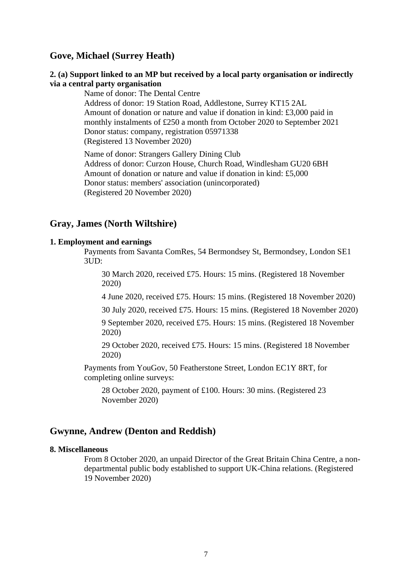# **Gove, Michael (Surrey Heath)**

### **2. (a) Support linked to an MP but received by a local party organisation or indirectly via a central party organisation**

Name of donor: The Dental Centre Address of donor: 19 Station Road, Addlestone, Surrey KT15 2AL Amount of donation or nature and value if donation in kind: £3,000 paid in monthly instalments of £250 a month from October 2020 to September 2021 Donor status: company, registration 05971338 (Registered 13 November 2020)

Name of donor: Strangers Gallery Dining Club Address of donor: Curzon House, Church Road, Windlesham GU20 6BH Amount of donation or nature and value if donation in kind: £5,000 Donor status: members' association (unincorporated) (Registered 20 November 2020)

# **Gray, James (North Wiltshire)**

### **1. Employment and earnings**

Payments from Savanta ComRes, 54 Bermondsey St, Bermondsey, London SE1 3UD:

30 March 2020, received £75. Hours: 15 mins. (Registered 18 November 2020)

4 June 2020, received £75. Hours: 15 mins. (Registered 18 November 2020)

30 July 2020, received £75. Hours: 15 mins. (Registered 18 November 2020)

9 September 2020, received £75. Hours: 15 mins. (Registered 18 November 2020)

29 October 2020, received £75. Hours: 15 mins. (Registered 18 November 2020)

Payments from YouGov, 50 Featherstone Street, London EC1Y 8RT, for completing online surveys:

28 October 2020, payment of £100. Hours: 30 mins. (Registered 23 November 2020)

# **Gwynne, Andrew (Denton and Reddish)**

### **8. Miscellaneous**

From 8 October 2020, an unpaid Director of the Great Britain China Centre, a nondepartmental public body established to support UK-China relations. (Registered 19 November 2020)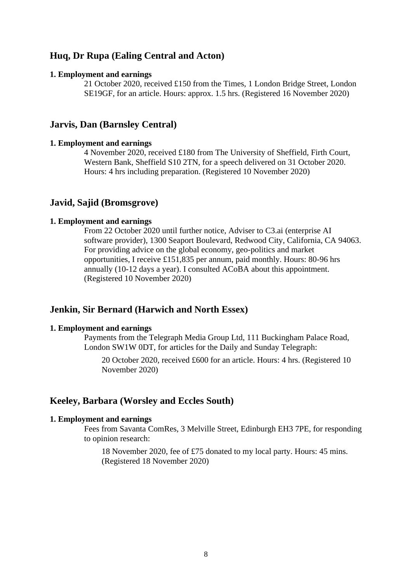# **Huq, Dr Rupa (Ealing Central and Acton)**

#### **1. Employment and earnings**

21 October 2020, received £150 from the Times, 1 London Bridge Street, London SE19GF, for an article. Hours: approx. 1.5 hrs. (Registered 16 November 2020)

# **Jarvis, Dan (Barnsley Central)**

### **1. Employment and earnings**

4 November 2020, received £180 from The University of Sheffield, Firth Court, Western Bank, Sheffield S10 2TN, for a speech delivered on 31 October 2020. Hours: 4 hrs including preparation. (Registered 10 November 2020)

# **Javid, Sajid (Bromsgrove)**

#### **1. Employment and earnings**

From 22 October 2020 until further notice, Adviser to C3.ai (enterprise AI software provider), 1300 Seaport Boulevard, Redwood City, California, CA 94063. For providing advice on the global economy, geo-politics and market opportunities, I receive £151,835 per annum, paid monthly. Hours: 80-96 hrs annually (10-12 days a year). I consulted ACoBA about this appointment. (Registered 10 November 2020)

# **Jenkin, Sir Bernard (Harwich and North Essex)**

#### **1. Employment and earnings**

Payments from the Telegraph Media Group Ltd, 111 Buckingham Palace Road, London SW1W 0DT, for articles for the Daily and Sunday Telegraph:

20 October 2020, received £600 for an article. Hours: 4 hrs. (Registered 10 November 2020)

### **Keeley, Barbara (Worsley and Eccles South)**

#### **1. Employment and earnings**

Fees from Savanta ComRes, 3 Melville Street, Edinburgh EH3 7PE, for responding to opinion research:

18 November 2020, fee of £75 donated to my local party. Hours: 45 mins. (Registered 18 November 2020)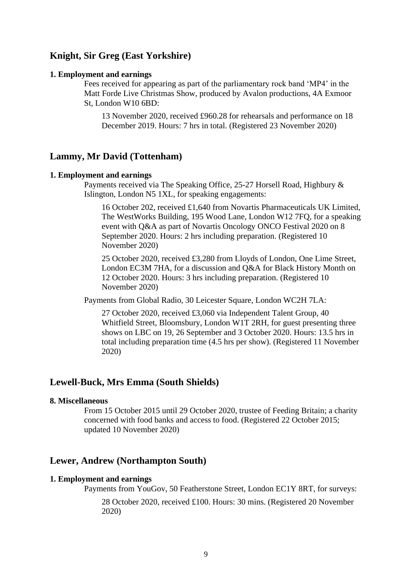# **Knight, Sir Greg (East Yorkshire)**

### **1. Employment and earnings**

Fees received for appearing as part of the parliamentary rock band 'MP4' in the Matt Forde Live Christmas Show, produced by Avalon productions, 4A Exmoor St, London W10 6BD:

13 November 2020, received £960.28 for rehearsals and performance on 18 December 2019. Hours: 7 hrs in total. (Registered 23 November 2020)

# **Lammy, Mr David (Tottenham)**

### **1. Employment and earnings**

Payments received via The Speaking Office, 25-27 Horsell Road, Highbury & Islington, London N5 1XL, for speaking engagements:

16 October 202, received £1,640 from Novartis Pharmaceuticals UK Limited, The WestWorks Building, 195 Wood Lane, London W12 7FQ, for a speaking event with Q&A as part of Novartis Oncology ONCO Festival 2020 on 8 September 2020. Hours: 2 hrs including preparation. (Registered 10 November 2020)

25 October 2020, received £3,280 from Lloyds of London, One Lime Street, London EC3M 7HA, for a discussion and Q&A for Black History Month on 12 October 2020. Hours: 3 hrs including preparation. (Registered 10 November 2020)

Payments from Global Radio, 30 Leicester Square, London WC2H 7LA:

27 October 2020, received £3,060 via Independent Talent Group, 40 Whitfield Street, Bloomsbury, London W1T 2RH, for guest presenting three shows on LBC on 19, 26 September and 3 October 2020. Hours: 13.5 hrs in total including preparation time (4.5 hrs per show). (Registered 11 November 2020)

# **Lewell-Buck, Mrs Emma (South Shields)**

### **8. Miscellaneous**

From 15 October 2015 until 29 October 2020, trustee of Feeding Britain; a charity concerned with food banks and access to food. (Registered 22 October 2015; updated 10 November 2020)

# **Lewer, Andrew (Northampton South)**

#### **1. Employment and earnings**

Payments from YouGov, 50 Featherstone Street, London EC1Y 8RT, for surveys: 28 October 2020, received £100. Hours: 30 mins. (Registered 20 November 2020)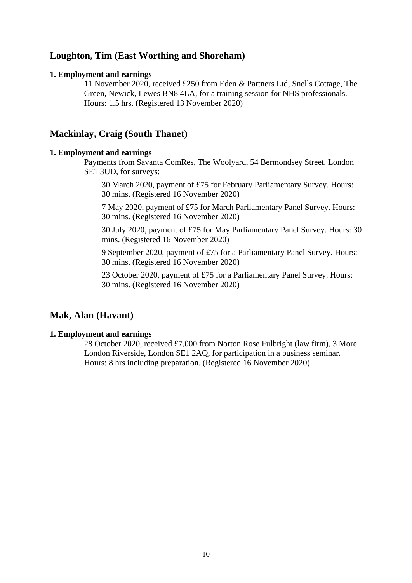# **Loughton, Tim (East Worthing and Shoreham)**

### **1. Employment and earnings**

11 November 2020, received £250 from Eden & Partners Ltd, Snells Cottage, The Green, Newick, Lewes BN8 4LA, for a training session for NHS professionals. Hours: 1.5 hrs. (Registered 13 November 2020)

# **Mackinlay, Craig (South Thanet)**

### **1. Employment and earnings**

Payments from Savanta ComRes, The Woolyard, 54 Bermondsey Street, London SE1 3UD, for surveys:

30 March 2020, payment of £75 for February Parliamentary Survey. Hours: 30 mins. (Registered 16 November 2020)

7 May 2020, payment of £75 for March Parliamentary Panel Survey. Hours: 30 mins. (Registered 16 November 2020)

30 July 2020, payment of £75 for May Parliamentary Panel Survey. Hours: 30 mins. (Registered 16 November 2020)

9 September 2020, payment of £75 for a Parliamentary Panel Survey. Hours: 30 mins. (Registered 16 November 2020)

23 October 2020, payment of £75 for a Parliamentary Panel Survey. Hours: 30 mins. (Registered 16 November 2020)

# **Mak, Alan (Havant)**

### **1. Employment and earnings**

28 October 2020, received £7,000 from Norton Rose Fulbright (law firm), 3 More London Riverside, London SE1 2AQ, for participation in a business seminar. Hours: 8 hrs including preparation. (Registered 16 November 2020)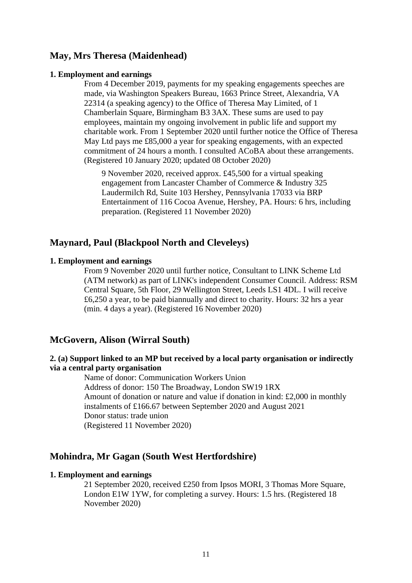# **May, Mrs Theresa (Maidenhead)**

#### **1. Employment and earnings**

From 4 December 2019, payments for my speaking engagements speeches are made, via Washington Speakers Bureau, 1663 Prince Street, Alexandria, VA 22314 (a speaking agency) to the Office of Theresa May Limited, of 1 Chamberlain Square, Birmingham B3 3AX. These sums are used to pay employees, maintain my ongoing involvement in public life and support my charitable work. From 1 September 2020 until further notice the Office of Theresa May Ltd pays me £85,000 a year for speaking engagements, with an expected commitment of 24 hours a month. I consulted ACoBA about these arrangements. (Registered 10 January 2020; updated 08 October 2020)

9 November 2020, received approx. £45,500 for a virtual speaking engagement from Lancaster Chamber of Commerce & Industry 325 Laudermilch Rd, Suite 103 Hershey, Pennsylvania 17033 via BRP Entertainment of 116 Cocoa Avenue, Hershey, PA. Hours: 6 hrs, including preparation. (Registered 11 November 2020)

# **Maynard, Paul (Blackpool North and Cleveleys)**

### **1. Employment and earnings**

From 9 November 2020 until further notice, Consultant to LINK Scheme Ltd (ATM network) as part of LINK's independent Consumer Council. Address: RSM Central Square, 5th Floor, 29 Wellington Street, Leeds LS1 4DL. I will receive £6,250 a year, to be paid biannually and direct to charity. Hours: 32 hrs a year (min. 4 days a year). (Registered 16 November 2020)

# **McGovern, Alison (Wirral South)**

# **2. (a) Support linked to an MP but received by a local party organisation or indirectly via a central party organisation**

Name of donor: Communication Workers Union Address of donor: 150 The Broadway, London SW19 1RX Amount of donation or nature and value if donation in kind: £2,000 in monthly instalments of £166.67 between September 2020 and August 2021 Donor status: trade union (Registered 11 November 2020)

# **Mohindra, Mr Gagan (South West Hertfordshire)**

### **1. Employment and earnings**

21 September 2020, received £250 from Ipsos MORI, 3 Thomas More Square, London E1W 1YW, for completing a survey. Hours: 1.5 hrs. (Registered 18 November 2020)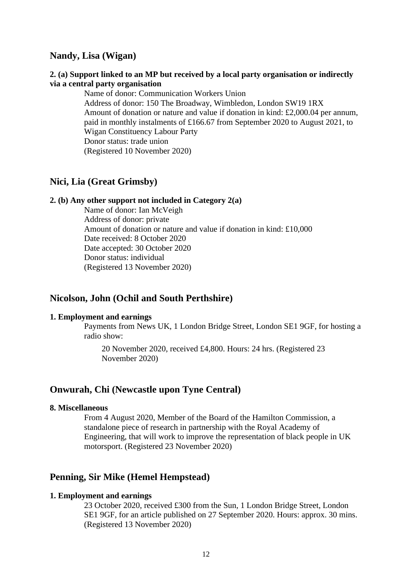# **Nandy, Lisa (Wigan)**

### **2. (a) Support linked to an MP but received by a local party organisation or indirectly via a central party organisation**

Name of donor: Communication Workers Union Address of donor: 150 The Broadway, Wimbledon, London SW19 1RX Amount of donation or nature and value if donation in kind: £2,000.04 per annum, paid in monthly instalments of £166.67 from September 2020 to August 2021, to Wigan Constituency Labour Party Donor status: trade union (Registered 10 November 2020)

# **Nici, Lia (Great Grimsby)**

### **2. (b) Any other support not included in Category 2(a)**

Name of donor: Ian McVeigh Address of donor: private Amount of donation or nature and value if donation in kind: £10,000 Date received: 8 October 2020 Date accepted: 30 October 2020 Donor status: individual (Registered 13 November 2020)

# **Nicolson, John (Ochil and South Perthshire)**

### **1. Employment and earnings**

Payments from News UK, 1 London Bridge Street, London SE1 9GF, for hosting a radio show:

20 November 2020, received £4,800. Hours: 24 hrs. (Registered 23 November 2020)

## **Onwurah, Chi (Newcastle upon Tyne Central)**

### **8. Miscellaneous**

From 4 August 2020, Member of the Board of the Hamilton Commission, a standalone piece of research in partnership with the Royal Academy of Engineering, that will work to improve the representation of black people in UK motorsport. (Registered 23 November 2020)

# **Penning, Sir Mike (Hemel Hempstead)**

### **1. Employment and earnings**

23 October 2020, received £300 from the Sun, 1 London Bridge Street, London SE1 9GF, for an article published on 27 September 2020. Hours: approx. 30 mins. (Registered 13 November 2020)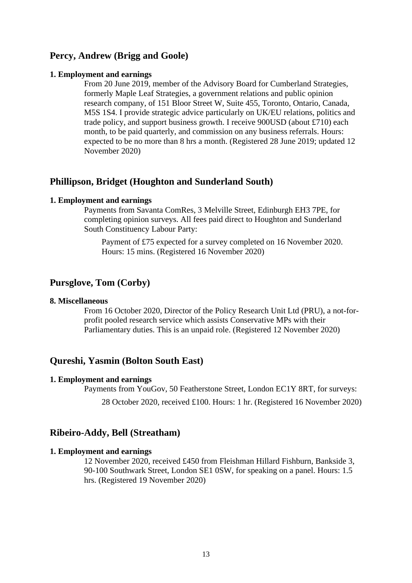# **Percy, Andrew (Brigg and Goole)**

#### **1. Employment and earnings**

From 20 June 2019, member of the Advisory Board for Cumberland Strategies, formerly Maple Leaf Strategies, a government relations and public opinion research company, of 151 Bloor Street W, Suite 455, Toronto, Ontario, Canada, M5S 1S4. I provide strategic advice particularly on UK/EU relations, politics and trade policy, and support business growth. I receive 900USD (about £710) each month, to be paid quarterly, and commission on any business referrals. Hours: expected to be no more than 8 hrs a month. (Registered 28 June 2019; updated 12 November 2020)

# **Phillipson, Bridget (Houghton and Sunderland South)**

### **1. Employment and earnings**

Payments from Savanta ComRes, 3 Melville Street, Edinburgh EH3 7PE, for completing opinion surveys. All fees paid direct to Houghton and Sunderland South Constituency Labour Party:

Payment of £75 expected for a survey completed on 16 November 2020. Hours: 15 mins. (Registered 16 November 2020)

# **Pursglove, Tom (Corby)**

### **8. Miscellaneous**

From 16 October 2020, Director of the Policy Research Unit Ltd (PRU), a not-forprofit pooled research service which assists Conservative MPs with their Parliamentary duties. This is an unpaid role. (Registered 12 November 2020)

# **Qureshi, Yasmin (Bolton South East)**

#### **1. Employment and earnings**

Payments from YouGov, 50 Featherstone Street, London EC1Y 8RT, for surveys: 28 October 2020, received £100. Hours: 1 hr. (Registered 16 November 2020)

# **Ribeiro-Addy, Bell (Streatham)**

### **1. Employment and earnings**

12 November 2020, received £450 from Fleishman Hillard Fishburn, Bankside 3, 90-100 Southwark Street, London SE1 0SW, for speaking on a panel. Hours: 1.5 hrs. (Registered 19 November 2020)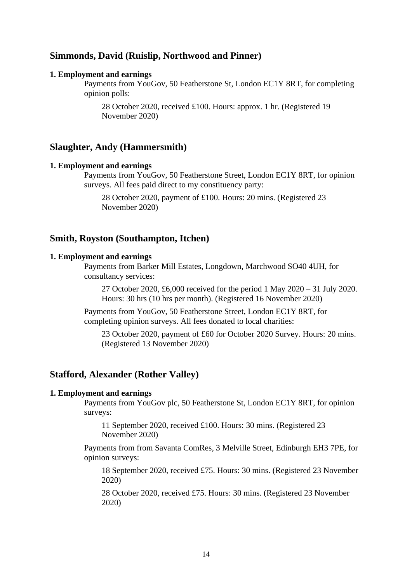# **Simmonds, David (Ruislip, Northwood and Pinner)**

#### **1. Employment and earnings**

Payments from YouGov, 50 Featherstone St, London EC1Y 8RT, for completing opinion polls:

28 October 2020, received £100. Hours: approx. 1 hr. (Registered 19 November 2020)

#### **Slaughter, Andy (Hammersmith)**

#### **1. Employment and earnings**

Payments from YouGov, 50 Featherstone Street, London EC1Y 8RT, for opinion surveys. All fees paid direct to my constituency party:

28 October 2020, payment of £100. Hours: 20 mins. (Registered 23 November 2020)

# **Smith, Royston (Southampton, Itchen)**

### **1. Employment and earnings**

Payments from Barker Mill Estates, Longdown, Marchwood SO40 4UH, for consultancy services:

27 October 2020, £6,000 received for the period 1 May 2020 – 31 July 2020. Hours: 30 hrs (10 hrs per month). (Registered 16 November 2020)

Payments from YouGov, 50 Featherstone Street, London EC1Y 8RT, for completing opinion surveys. All fees donated to local charities:

23 October 2020, payment of £60 for October 2020 Survey. Hours: 20 mins. (Registered 13 November 2020)

# **Stafford, Alexander (Rother Valley)**

#### **1. Employment and earnings**

Payments from YouGov plc, 50 Featherstone St, London EC1Y 8RT, for opinion surveys:

11 September 2020, received £100. Hours: 30 mins. (Registered 23 November 2020)

Payments from from Savanta ComRes, 3 Melville Street, Edinburgh EH3 7PE, for opinion surveys:

18 September 2020, received £75. Hours: 30 mins. (Registered 23 November 2020)

28 October 2020, received £75. Hours: 30 mins. (Registered 23 November 2020)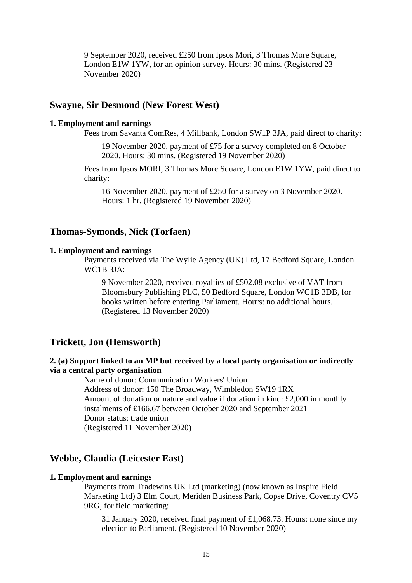9 September 2020, received £250 from Ipsos Mori, 3 Thomas More Square, London E1W 1YW, for an opinion survey. Hours: 30 mins. (Registered 23 November 2020)

# **Swayne, Sir Desmond (New Forest West)**

#### **1. Employment and earnings**

Fees from Savanta ComRes, 4 Millbank, London SW1P 3JA, paid direct to charity:

19 November 2020, payment of £75 for a survey completed on 8 October 2020. Hours: 30 mins. (Registered 19 November 2020)

Fees from Ipsos MORI, 3 Thomas More Square, London E1W 1YW, paid direct to charity:

16 November 2020, payment of £250 for a survey on 3 November 2020. Hours: 1 hr. (Registered 19 November 2020)

# **Thomas-Symonds, Nick (Torfaen)**

#### **1. Employment and earnings**

Payments received via The Wylie Agency (UK) Ltd, 17 Bedford Square, London WC1B 3JA:

9 November 2020, received royalties of £502.08 exclusive of VAT from Bloomsbury Publishing PLC, 50 Bedford Square, London WC1B 3DB, for books written before entering Parliament. Hours: no additional hours. (Registered 13 November 2020)

## **Trickett, Jon (Hemsworth)**

# **2. (a) Support linked to an MP but received by a local party organisation or indirectly via a central party organisation**

Name of donor: Communication Workers' Union Address of donor: 150 The Broadway, Wimbledon SW19 1RX Amount of donation or nature and value if donation in kind: £2,000 in monthly instalments of £166.67 between October 2020 and September 2021 Donor status: trade union (Registered 11 November 2020)

# **Webbe, Claudia (Leicester East)**

### **1. Employment and earnings**

Payments from Tradewins UK Ltd (marketing) (now known as Inspire Field Marketing Ltd) 3 Elm Court, Meriden Business Park, Copse Drive, Coventry CV5 9RG, for field marketing:

31 January 2020, received final payment of £1,068.73. Hours: none since my election to Parliament. (Registered 10 November 2020)